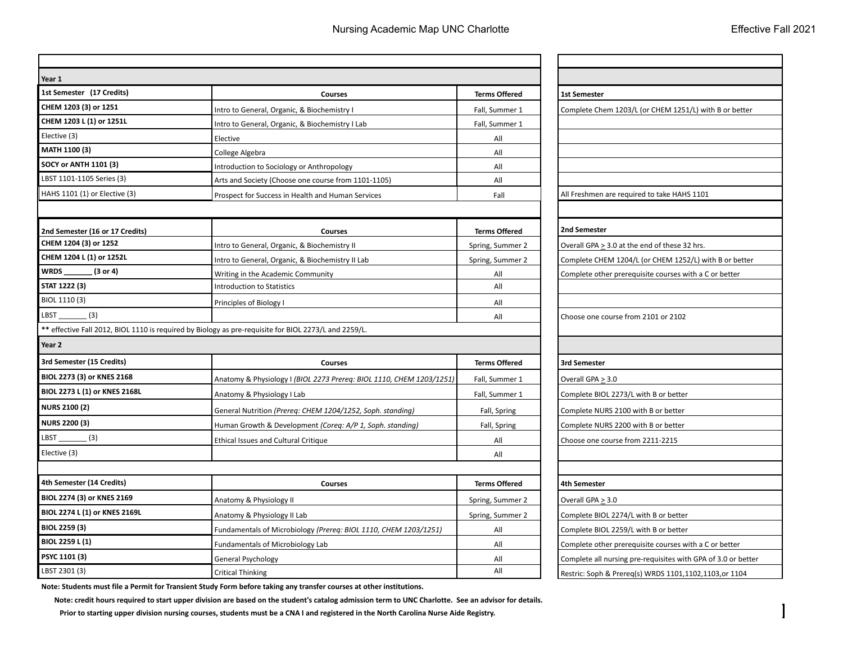| Year 1                          |                                                                                                       |                      |                        |
|---------------------------------|-------------------------------------------------------------------------------------------------------|----------------------|------------------------|
| 1st Semester (17 Credits)       | <b>Courses</b>                                                                                        | <b>Terms Offered</b> | <b>1st Semester</b>    |
| CHEM 1203 (3) or 1251           | Intro to General, Organic, & Biochemistry I                                                           | Fall, Summer 1       | Complete Chem 1        |
| CHEM 1203 L (1) or 1251L        | Intro to General, Organic, & Biochemistry I Lab                                                       | Fall, Summer 1       |                        |
| Elective (3)                    | Elective                                                                                              | All                  |                        |
| MATH 1100 (3)                   | College Algebra                                                                                       | All                  |                        |
| <b>SOCY or ANTH 1101 (3)</b>    | Introduction to Sociology or Anthropology                                                             | All                  |                        |
| LBST 1101-1105 Series (3)       | Arts and Society (Choose one course from 1101-1105)                                                   | All                  |                        |
| HAHS 1101 (1) or Elective (3)   | Prospect for Success in Health and Human Services                                                     | Fall                 | All Freshmen are i     |
| 2nd Semester (16 or 17 Credits) | <b>Courses</b>                                                                                        | <b>Terms Offered</b> | 2nd Semester           |
| CHEM 1204 (3) or 1252           | Intro to General, Organic, & Biochemistry II                                                          | Spring, Summer 2     | Overall GPA $\geq$ 3.0 |
| CHEM 1204 L (1) or 1252L        | Intro to General, Organic, & Biochemistry II Lab                                                      | Spring, Summer 2     | Complete CHEM 1        |
| WRDS_<br>(3 or 4)               | Writing in the Academic Community                                                                     | All                  | Complete other p       |
| STAT 1222 (3)                   | <b>Introduction to Statistics</b>                                                                     | All                  |                        |
| BIOL 1110 (3)                   | Principles of Biology I                                                                               | All                  |                        |
| LBST<br>(3)                     |                                                                                                       | All                  | Choose one cours       |
|                                 | ** effective Fall 2012, BIOL 1110 is required by Biology as pre-requisite for BIOL 2273/L and 2259/L. |                      |                        |
| Year 2                          |                                                                                                       |                      |                        |
| 3rd Semester (15 Credits)       | <b>Courses</b>                                                                                        | <b>Terms Offered</b> | 3rd Semester           |
| BIOL 2273 (3) or KNES 2168      | Anatomy & Physiology I (BIOL 2273 Prereq: BIOL 1110, CHEM 1203/1251)                                  | Fall, Summer 1       | Overall GPA $\geq 3.0$ |
| BIOL 2273 L (1) or KNES 2168L   | Anatomy & Physiology I Lab                                                                            | Fall, Summer 1       | Complete BIOL 22       |
| <b>NURS 2100 (2)</b>            | General Nutrition (Prereq: CHEM 1204/1252, Soph. standing)                                            | Fall, Spring         | Complete NURS 2        |
| <b>NURS 2200 (3)</b>            | Human Growth & Development (Coreq: A/P 1, Soph. standing)                                             | Fall, Spring         | Complete NURS 2        |
| LBST<br>(3)                     | <b>Ethical Issues and Cultural Critique</b>                                                           | All                  | Choose one cours       |
| Elective (3)                    |                                                                                                       | All                  |                        |
|                                 |                                                                                                       |                      |                        |
| 4th Semester (14 Credits)       | <b>Courses</b>                                                                                        | <b>Terms Offered</b> | 4th Semester           |
| BIOL 2274 (3) or KNES 2169      | Anatomy & Physiology II                                                                               | Spring, Summer 2     | Overall GPA $\geq 3.0$ |
| BIOL 2274 L (1) or KNES 2169L   | Anatomy & Physiology II Lab                                                                           | Spring, Summer 2     | Complete BIOL 22       |
| <b>BIOL 2259 (3)</b>            | Fundamentals of Microbiology (Prereq: BIOL 1110, CHEM 1203/1251)                                      | All                  | Complete BIOL 22       |
| BIOL 2259 L (1)                 | <b>Fundamentals of Microbiology Lab</b>                                                               | All                  | Complete other pr      |
| PSYC 1101 (3)                   | General Psychology                                                                                    | All                  | Complete all nursi     |
| LBST 2301 (3)                   | Critical Thinking                                                                                     | All                  | Doctric: Copb P. Dr    |

Complete Chem 1203/L (or CHEM 1251/L) with B or better All Freshmen are required to take HAHS 1101 Overall GPA  $\geq$  3.0 at the end of these 32 hrs. Complete CHEM 1204/L (or CHEM 1252/L) with B or better Complete other prerequisite courses with a C or better Choose one course from 2101 or 2102 **BIOL 2273/L with B or better** Complete NURS 2100 with B or better Complete NURS 2200 with B or better Choose one course from 2211-2215 **Complete BIOL 2274/L with B or better** Complete BIOL 2259/L with B or better Complete other prerequisite courses with a C or better Complete all nursing pre-requisites with GPA of 3.0 or better Restric: Soph & Prereq(s) WRDS 1101,1102,1103,or 1104

**Note: Students must file a Permit for Transient Study Form before taking any transfer courses at other institutions.** 

 **Note: credit hours required to start upper division are based on the student's catalog admission term to UNC Charlotte. See an advisor for details.**

 **Prior to starting upper division nursing courses, students must be a CNA I and registered in the North Carolina Nurse Aide Registry.**